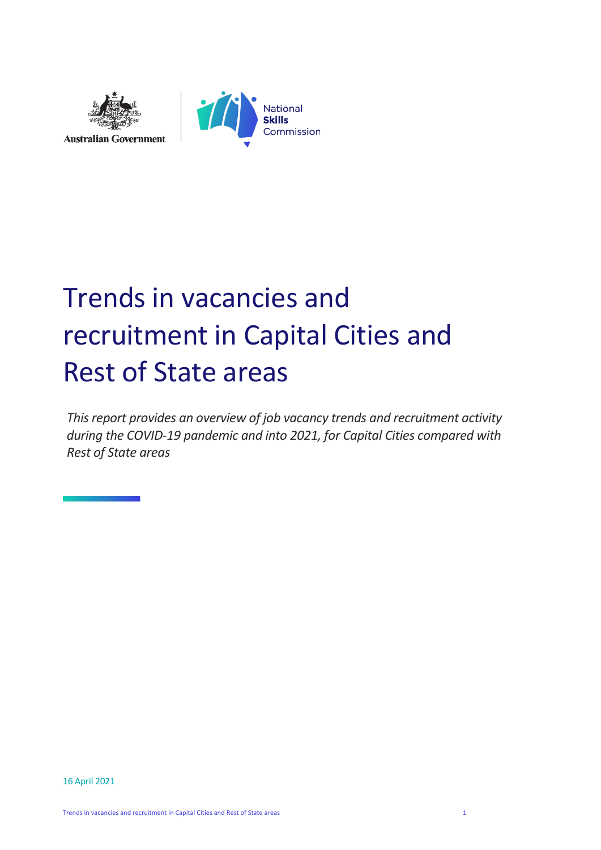



# Trends in vacancies and recruitment in Capital Cities and Rest of State areas

*This report provides an overview of job vacancy trends and recruitment activity during the COVID-19 pandemic and into 2021, for Capital Cities compared with Rest of State areas*

16 April 2021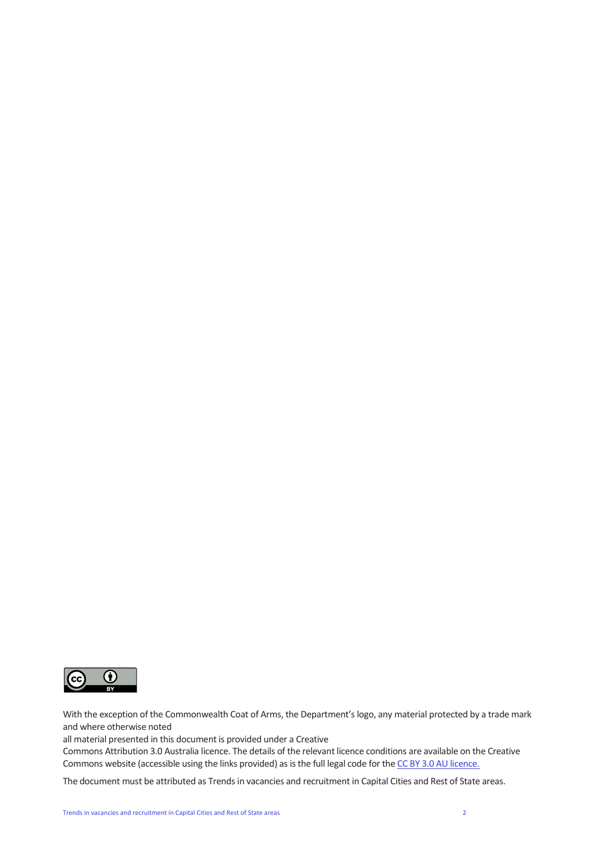

With the exception of the Commonwealth Coat of Arms, the Department's logo, any material protected by a trade mark and where otherwise noted

all material presented in this document is provided under a Creative

Commons Attribution 3.0 Australia licence. The details of the relevant licence conditions are available on the Creative Commons website (accessible using the links provided) as is the full legal code for th[e CC BY 3.0 AU licence.](https://creativecommons.org/licenses/by/3.0/au/)

The document must be attributed as Trends in vacancies and recruitment in Capital Cities and Rest of State areas.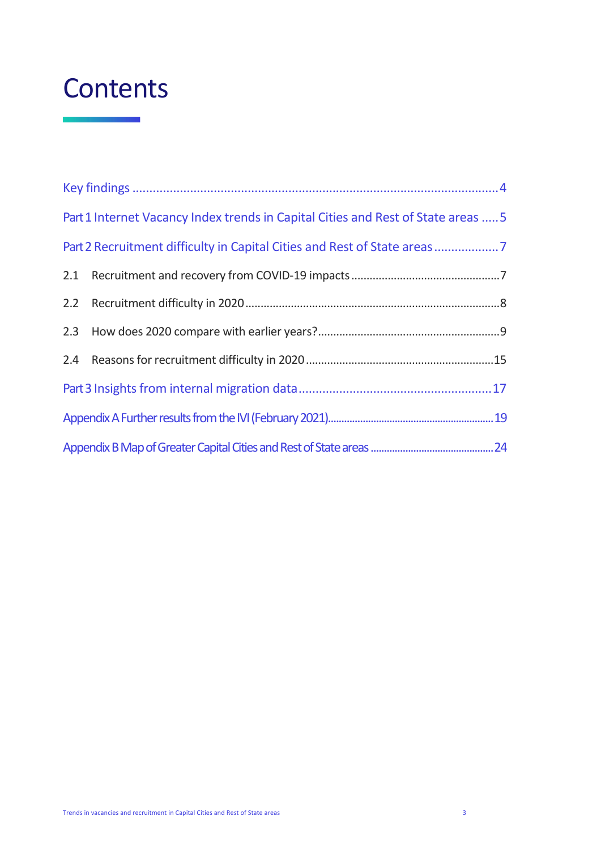## **Contents**

| Part 1 Internet Vacancy Index trends in Capital Cities and Rest of State areas  5 |  |
|-----------------------------------------------------------------------------------|--|
| Part 2 Recruitment difficulty in Capital Cities and Rest of State areas           |  |
|                                                                                   |  |
|                                                                                   |  |
|                                                                                   |  |
|                                                                                   |  |
|                                                                                   |  |
|                                                                                   |  |
|                                                                                   |  |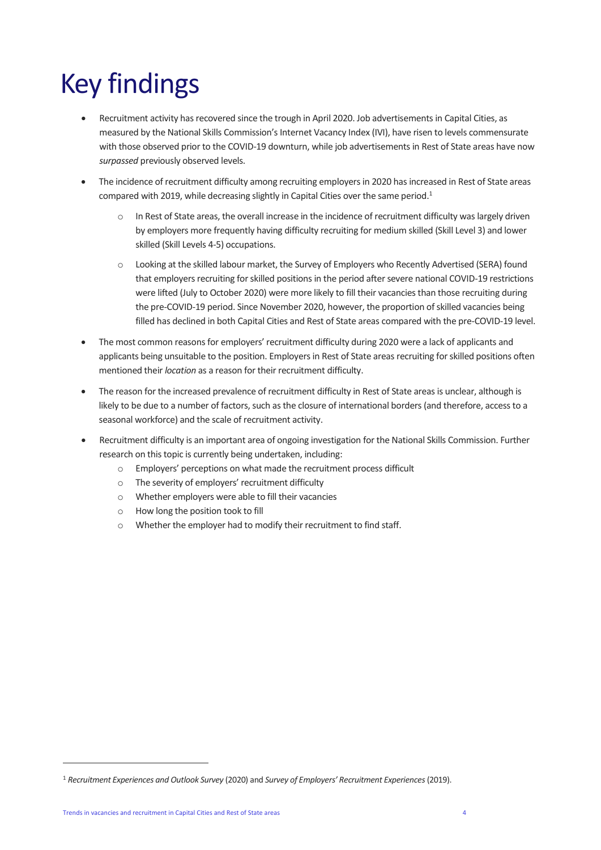# <span id="page-3-0"></span>Key findings

- Recruitment activity has recovered since the trough in April 2020. Job advertisements in Capital Cities, as measured by the National Skills Commission's Internet Vacancy Index (IVI), have risen to levels commensurate with those observed prior to the COVID-19 downturn, while job advertisements in Rest of State areas have now *surpassed* previously observed levels.
- The incidence of recruitment difficulty among recruiting employers in 2020 has increased in Rest of State areas compared with 2019, while decreasing slightly in Capital Cities over the same period.<sup>1</sup>
	- o In Rest of State areas, the overall increase in the incidence of recruitment difficulty was largely driven by employers more frequently having difficulty recruiting for medium skilled (Skill Level 3) and lower skilled (Skill Levels 4-5) occupations.
	- o Looking at the skilled labour market, the Survey of Employers who Recently Advertised (SERA) found that employers recruiting for skilled positions in the period after severe national COVID-19 restrictions were lifted (July to October 2020) were more likely to fill their vacancies than those recruiting during the pre-COVID-19 period. Since November 2020, however, the proportion of skilled vacancies being filled has declined in both Capital Cities and Rest of State areas compared with the pre-COVID-19 level.
- The most common reasons for employers' recruitment difficulty during 2020 were a lack of applicants and applicants being unsuitable to the position. Employers in Rest of State areas recruiting for skilled positions often mentioned their *location* as a reason for their recruitment difficulty.
- The reason for the increased prevalence of recruitment difficulty in Rest of State areas is unclear, although is likely to be due to a number of factors, such as the closure of international borders (and therefore, access to a seasonal workforce) and the scale of recruitment activity.
- Recruitment difficulty is an important area of ongoing investigation for the National Skills Commission. Further research on this topic is currently being undertaken, including:
	- o Employers' perceptions on what made the recruitment process difficult
	- o The severity of employers' recruitment difficulty
	- o Whether employers were able to fill their vacancies
	- o How long the position took to fill
	- o Whether the employer had to modify their recruitment to find staff.

<sup>1</sup> *Recruitment Experiences and Outlook Survey* (2020) and *Survey of Employers' Recruitment Experiences*(2019).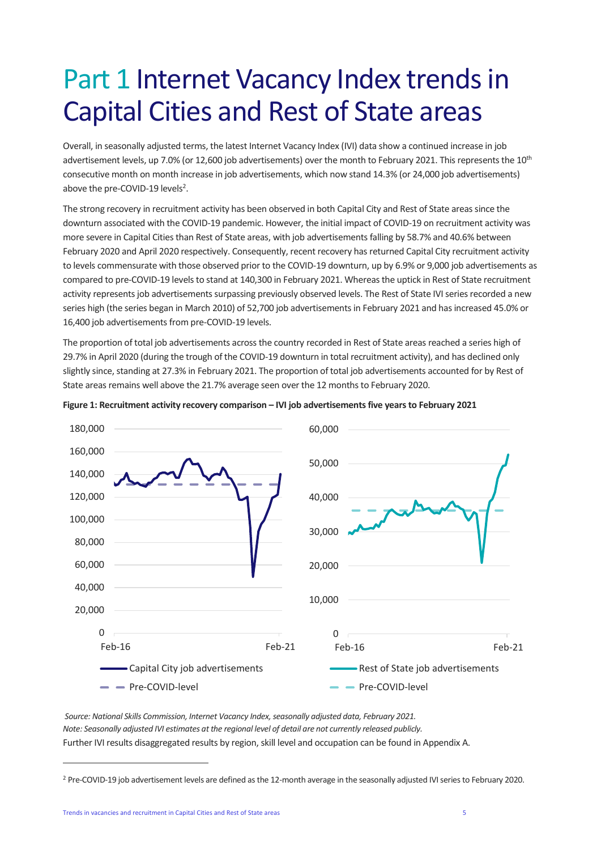## <span id="page-4-0"></span>Part 1 Internet Vacancy Index trends in Capital Cities and Rest of State areas

Overall, in seasonally adjusted terms, the latest Internet Vacancy Index (IVI) data show a continued increase in job advertisement levels, up 7.0% (or 12,600 job advertisements) over the month to February 2021. This represents the 10<sup>th</sup> consecutive month on month increase in job advertisements, which now stand 14.3% (or 24,000 job advertisements) above the pre-COVID-19 levels<sup>2</sup>.

The strong recovery in recruitment activity has been observed in both Capital City and Rest of State areas since the downturn associated with the COVID-19 pandemic. However, the initial impact of COVID-19 on recruitment activity was more severe in Capital Cities than Rest of State areas, with job advertisements falling by 58.7% and 40.6% between February 2020 and April 2020 respectively. Consequently, recent recovery has returned Capital City recruitment activity to levels commensurate with those observed prior to the COVID-19 downturn, up by 6.9% or 9,000 job advertisements as compared to pre-COVID-19 levels to stand at 140,300 in February 2021. Whereas the uptick in Rest of State recruitment activity represents job advertisements surpassing previously observed levels. The Rest of State IVI series recorded a new series high (the series began in March 2010) of 52,700 job advertisements in February 2021 and has increased 45.0% or 16,400 job advertisements from pre-COVID-19 levels.

The proportion of total job advertisements across the country recorded in Rest of State areas reached a series high of 29.7% in April 2020 (during the trough of the COVID-19 downturn in total recruitment activity), and has declined only slightly since, standing at 27.3% in February 2021. The proportion of total job advertisements accounted for by Rest of State areas remains well above the 21.7% average seen over the 12 months to February 2020.



#### **Figure 1: Recruitment activity recovery comparison – IVI job advertisements five years to February 2021**

*Source: National Skills Commission, Internet Vacancy Index, seasonally adjusted data, February 2021. Note: Seasonally adjusted IVI estimates at the regional level of detail are not currently released publicly.* Further IVI results disaggregated results by region, skill level and occupation can be found in Appendix A.

<sup>&</sup>lt;sup>2</sup> Pre-COVID-19 job advertisement levels are defined as the 12-month average in the seasonally adjusted IVI series to February 2020.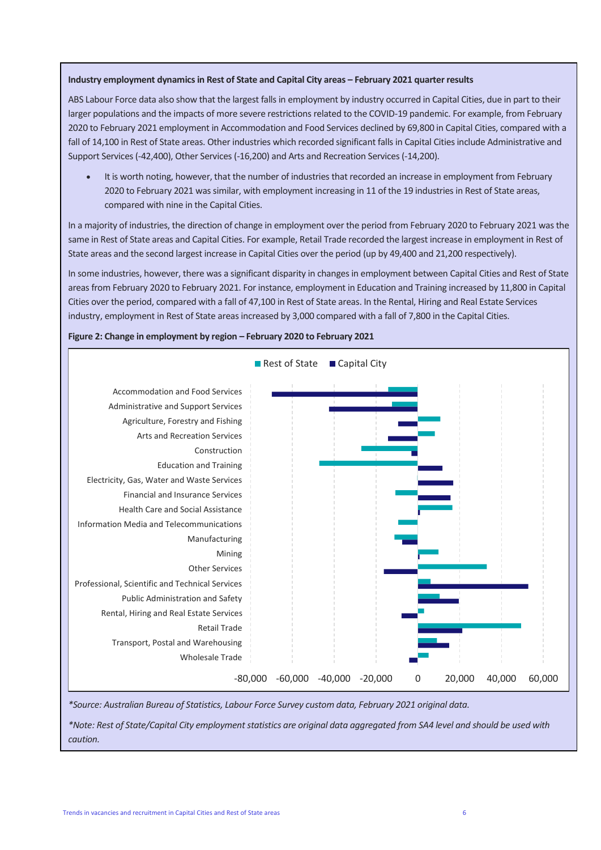#### **Industry employment dynamics in Rest of State and Capital City areas – February 2021 quarter results**

ABS Labour Force data also show that the largest falls in employment by industry occurred in Capital Cities, due in part to their larger populations and the impacts of more severe restrictions related to the COVID-19 pandemic. For example, from February 2020 to February 2021 employment in Accommodation and Food Services declined by 69,800 in Capital Cities, compared with a fall of 14,100 in Rest of State areas. Other industries which recorded significant falls in Capital Cities include Administrative and Support Services (-42,400), Other Services (-16,200) and Arts and Recreation Services(-14,200).

It is worth noting, however, that the number of industries that recorded an increase in employment from February 2020 to February 2021 was similar, with employment increasing in 11 of the 19 industries in Rest of State areas, compared with nine in the Capital Cities.

In a majority of industries, the direction of change in employment over the period from February 2020 to February 2021 was the same in Rest of State areas and Capital Cities. For example, Retail Trade recorded the largest increase in employment in Rest of State areas and the second largest increase in Capital Cities over the period (up by 49,400 and 21,200 respectively).

In some industries, however, there was a significant disparity in changes in employment between Capital Cities and Rest of State areas from February 2020 to February 2021. For instance, employment in Education and Training increased by 11,800 in Capital Cities over the period, compared with a fall of 47,100 in Rest of State areas. In the Rental, Hiring and Real Estate Services industry, employment in Rest of State areas increased by 3,000 compared with a fall of 7,800 in the Capital Cities.



**Figure 2: Change in employment by region – February 2020 to February 2021**

*\*Source: Australian Bureau of Statistics, Labour Force Survey custom data, February 2021 original data.* 

*\*Note: Rest of State/Capital City employment statistics are original data aggregated from SA4 level and should be used with caution.*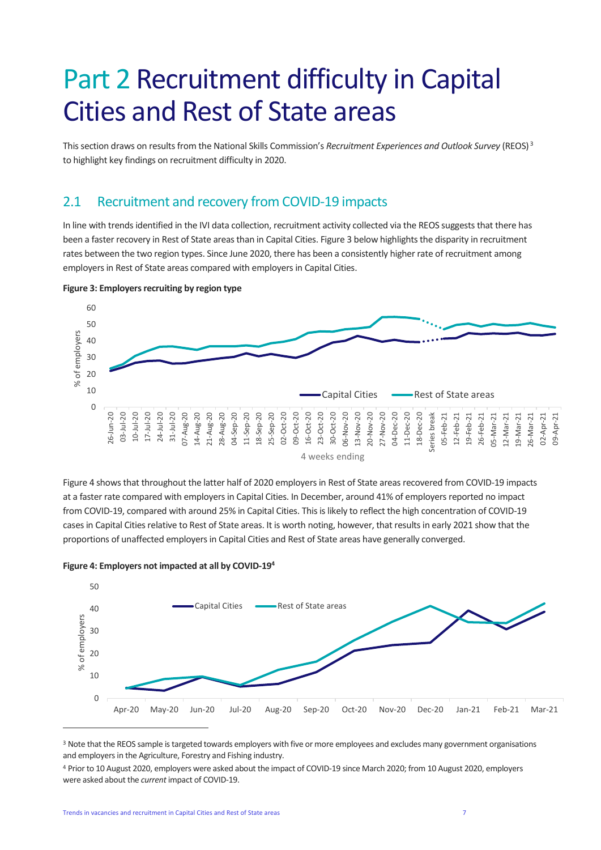## <span id="page-6-0"></span>Part 2 Recruitment difficulty in Capital Cities and Rest of State areas

This section draws on results from the National Skills Commission's *Recruitment Experiences and Outlook Survey* (REOS) <sup>3</sup> to highlight key findings on recruitment difficulty in 2020.

### <span id="page-6-1"></span>2.1 Recruitment and recovery from COVID-19 impacts

In line with trends identified in the IVI data collection, recruitment activity collected via the REOS suggests that there has been a faster recovery in Rest of State areas than in Capital Cities. Figure 3 below highlights the disparity in recruitment rates between the two region types. Since June 2020, there has been a consistently higher rate of recruitment among employers in Rest of State areas compared with employers in Capital Cities.



**Figure 3: Employers recruiting by region type**

4 weeks ending

Figure 4 shows that throughout the latter half of 2020 employers in Rest of State areas recovered from COVID-19 impacts at a faster rate compared with employers in Capital Cities. In December, around 41% of employers reported no impact from COVID-19, compared with around 25% in Capital Cities. This is likely to reflect the high concentration of COVID-19 cases in Capital Cities relative to Rest of State areas. It is worth noting, however, that results in early 2021 show that the proportions of unaffected employers in Capital Cities and Rest of State areas have generally converged.





<sup>&</sup>lt;sup>3</sup> Note that the REOS sample is targeted towards employers with five or more employees and excludes many government organisations and employers in the Agriculture, Forestry and Fishing industry.

<sup>4</sup> Prior to 10 August 2020, employers were asked about the impact of COVID-19 since March 2020; from 10 August 2020, employers were asked about the *current* impact of COVID-19.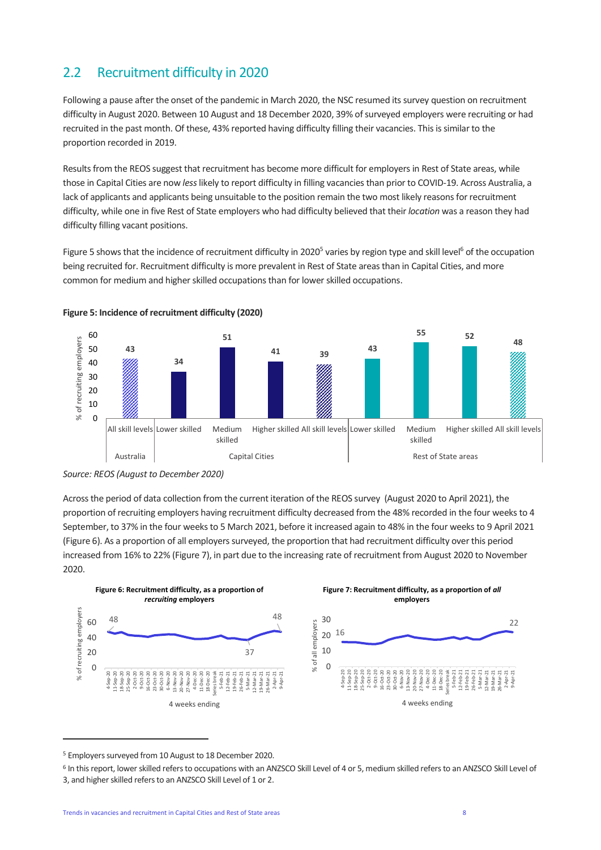### <span id="page-7-0"></span>2.2 Recruitment difficulty in 2020

Following a pause after the onset of the pandemic in March 2020, the NSC resumed its survey question on recruitment difficulty in August 2020. Between 10 August and 18 December 2020, 39% of surveyed employers were recruiting or had recruited in the past month. Of these, 43% reported having difficulty filling their vacancies. This is similar to the proportion recorded in 2019.

Results from the REOS suggest that recruitment has become more difficult for employers in Rest of State areas, while those in Capital Cities are now *less*likely to report difficulty in filling vacancies than prior to COVID-19. Across Australia, a lack of applicants and applicants being unsuitable to the position remain the two most likely reasons for recruitment difficulty, while one in five Rest of State employers who had difficulty believed that their *location* was a reason they had difficulty filling vacant positions.

Figure 5 shows that the incidence of recruitment difficulty in 2020<sup>5</sup> varies by region type and skill level<sup>6</sup> of the occupation being recruited for. Recruitment difficulty is more prevalent in Rest of State areas than in Capital Cities, and more common for medium and higher skilled occupations than for lower skilled occupations.





Across the period of data collection from the current iteration of the REOS survey (August 2020 to April 2021), the proportion of recruiting employers having recruitment difficulty decreased from the 48% recorded in the four weeks to 4 September, to 37% in the four weeks to 5 March 2021, before it increased again to 48% in the four weeks to 9 April 2021 (Figure 6). As a proportion of all employers surveyed, the proportion that had recruitment difficulty over this period increased from 16% to 22% (Figure 7), in part due to the increasing rate of recruitment from August 2020 to November 2020.

<span id="page-7-1"></span>

<sup>5</sup> Employers surveyed from 10 August to 18 December 2020.

*Source: REOS (August to December 2020)*

<sup>&</sup>lt;sup>6</sup> In this report, lower skilled refers to occupations with an ANZSCO Skill Level of 4 or 5, medium skilled refers to an ANZSCO Skill Level of 3, and higher skilled refers to an ANZSCO Skill Level of 1 or 2.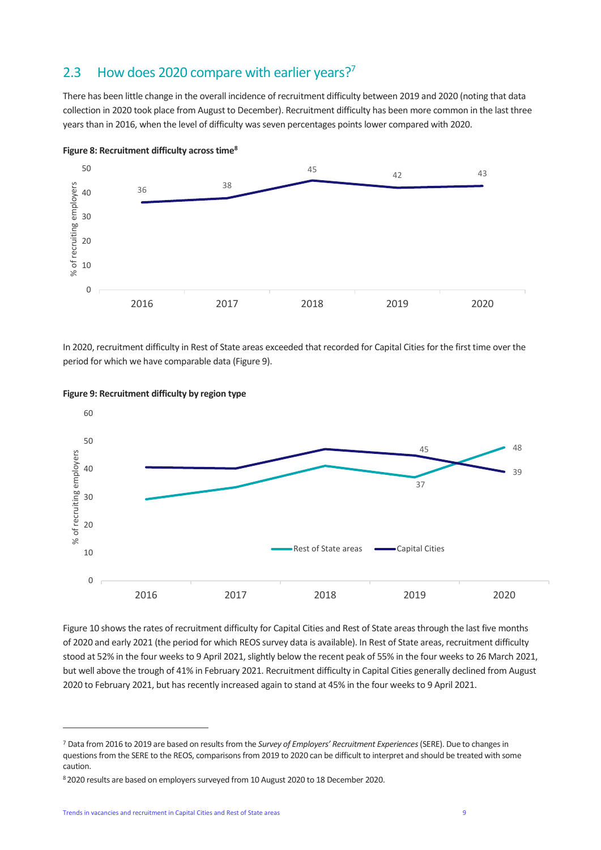### 2.3 How does 2020 compare with earlier years?<sup>7</sup>

There has been little change in the overall incidence of recruitment difficulty between 2019 and 2020 (noting that data collection in 2020 took place from August to December). Recruitment difficulty has been more common in the last three years than in 2016, when the level of difficulty was seven percentages points lower compared with 2020.





In 2020, recruitment difficulty in Rest of State areas exceeded that recorded for Capital Cities for the first time over the period for which we have comparable data (Figure 9).



#### **Figure 9: Recruitment difficulty by region type**

Figure 10 shows the rates of recruitment difficulty for Capital Cities and Rest of State areas through the last five months of 2020 and early 2021 (the period for which REOS survey data is available). In Rest of State areas, recruitment difficulty stood at 52% in the four weeks to 9 April 2021, slightly below the recent peak of 55% in the four weeks to 26 March 2021, but well above the trough of 41% in February 2021. Recruitment difficulty in Capital Cities generally declined from August 2020 to February 2021, but has recently increased again to stand at 45% in the four weeks to 9 April 2021.

<sup>7</sup> Data from 2016 to 2019 are based on results from the *Survey of Employers' Recruitment Experiences*(SERE). Due to changes in questions from the SERE to the REOS, comparisons from 2019 to 2020 can be difficult to interpret and should be treated with some caution.

<sup>8</sup> 2020 results are based on employers surveyed from 10 August 2020 to 18 December 2020.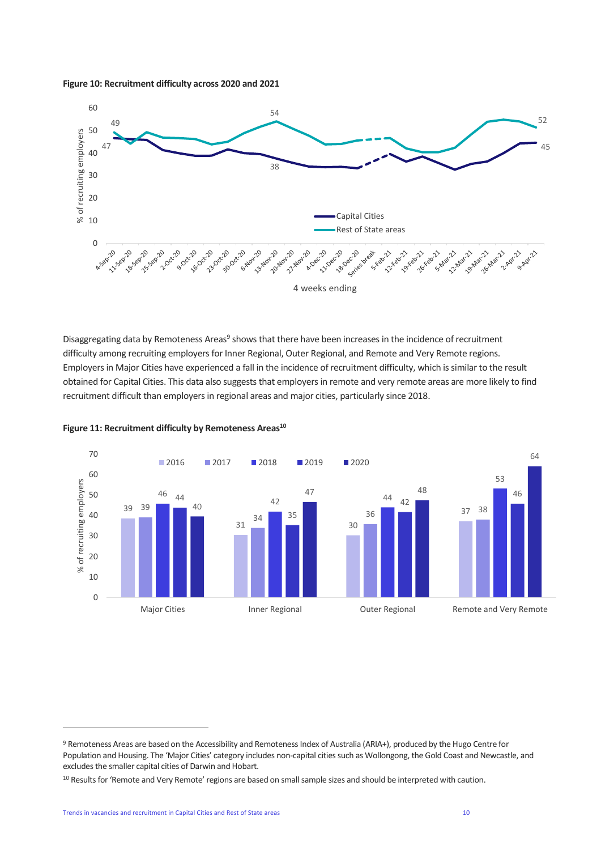



Disaggregating data by Remoteness Areas<sup>9</sup> shows that there have been increases in the incidence of recruitment difficulty among recruiting employers for Inner Regional, Outer Regional, and Remote and Very Remote regions. Employers in Major Cities have experienced a fall in the incidence of recruitment difficulty, which is similar to the result obtained for Capital Cities. This data also suggests that employers in remote and very remote areas are more likely to find recruitment difficult than employers in regional areas and major cities, particularly since 2018.



**Figure 11: Recruitment difficulty by Remoteness Areas<sup>10</sup>**

<sup>9</sup> Remoteness Areas are based on the Accessibility and Remoteness Index of Australia (ARIA+), produced by the Hugo Centre for Population and Housing. The 'Major Cities' category includes non-capital cities such as Wollongong, the Gold Coast and Newcastle, and excludes the smaller capital cities of Darwin and Hobart.

<sup>&</sup>lt;sup>10</sup> Results for 'Remote and Very Remote' regions are based on small sample sizes and should be interpreted with caution.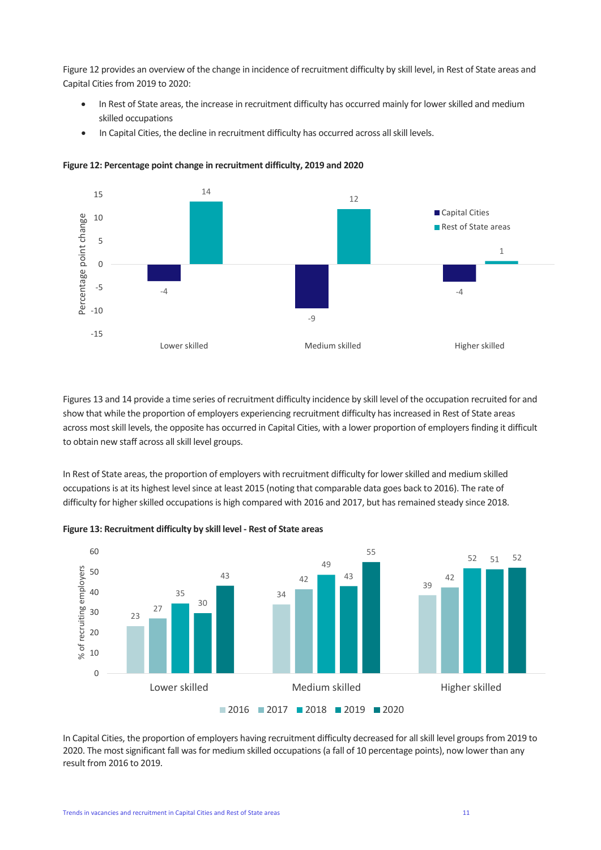Figure 12 provides an overview of the change in incidence of recruitment difficulty by skill level, in Rest of State areas and Capital Cities from 2019 to 2020:

- In Rest of State areas, the increase in recruitment difficulty has occurred mainly for lower skilled and medium skilled occupations
- In Capital Cities, the decline in recruitment difficulty has occurred across all skill levels.



**Figure 12: Percentage point change in recruitment difficulty, 2019 and 2020**

Figures 13 and 14 provide a time series of recruitment difficulty incidence by skill level of the occupation recruited for and show that while the proportion of employers experiencing recruitment difficulty has increased in Rest of State areas across most skill levels, the opposite has occurred in Capital Cities, with a lower proportion of employers finding it difficult to obtain new staff across all skill level groups.

In Rest of State areas, the proportion of employers with recruitment difficulty for lower skilled and medium skilled occupations is at its highest level since at least 2015 (noting that comparable data goes back to 2016). The rate of difficulty for higher skilled occupations is high compared with 2016 and 2017, but has remained steady since 2018.



**Figure 13: Recruitment difficulty by skill level - Rest of State areas**

In Capital Cities, the proportion of employers having recruitment difficulty decreased for all skill level groups from 2019 to 2020. The most significant fall was for medium skilled occupations (a fall of 10 percentage points), now lower than any result from 2016 to 2019.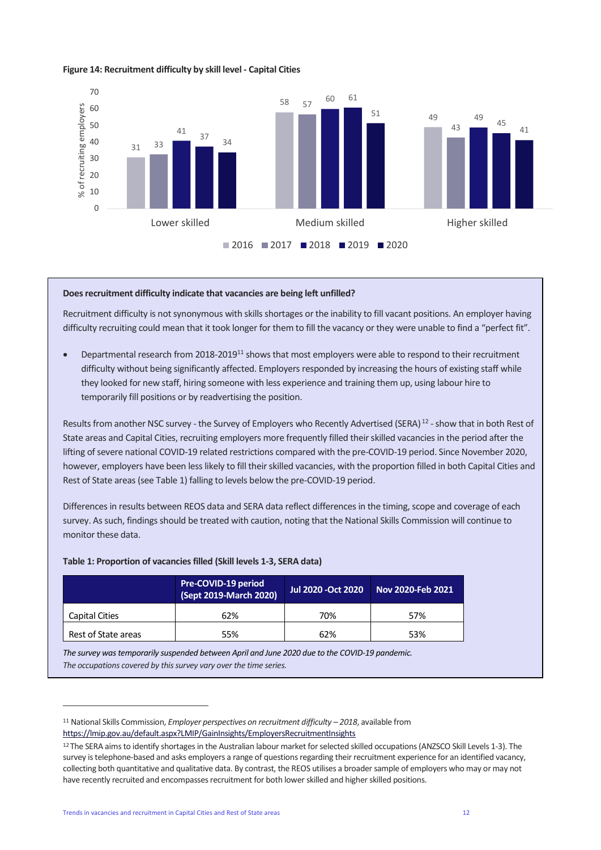#### **Figure 14: Recruitment difficulty by skill level - Capital Cities**



#### **Does recruitment difficulty indicate that vacancies are being left unfilled?**

Recruitment difficulty is not synonymous with skills shortages or the inability to fill vacant positions. An employer having difficulty recruiting could mean that it took longer for them to fill the vacancy or they were unable to find a "perfect fit".

• Departmental research from 2018-2019<sup>11</sup> shows that most employers were able to respond to their recruitment difficulty without being significantly affected. Employers responded by increasing the hours of existing staff while they looked for new staff, hiring someone with less experience and training them up, using labour hire to temporarily fill positions or by readvertising the position.

Results from another NSC survey - the Survey of Employers who Recently Advertised (SERA)<sup>12</sup> - show that in both Rest of State areas and Capital Cities, recruiting employers more frequently filled their skilled vacancies in the period after the lifting of severe national COVID-19 related restrictions compared with the pre-COVID-19 period. Since November 2020, however, employers have been less likely to fill their skilled vacancies, with the proportion filled in both Capital Cities and Rest of State areas (see Table 1) falling to levels below the pre-COVID-19 period.

Differences in results between REOS data and SERA data reflect differences in the timing, scope and coverage of each survey. As such, findings should be treated with caution, noting that the National Skills Commission will continue to monitor these data.

|                     | Pre-COVID-19 period<br>(Sept 2019-March 2020) | Jul 2020 - Oct 2020 | Nov 2020-Feb 2021 |
|---------------------|-----------------------------------------------|---------------------|-------------------|
| Capital Cities      | 62%                                           | 70%                 | 57%               |
| Rest of State areas | 55%                                           | 62%                 | 53%               |

#### **Table 1: Proportion of vacancies filled (Skill levels 1-3, SERA data)**

*The survey was temporarily suspended between April and June 2020 due to the COVID-19 pandemic. The occupations covered by this survey vary over the time series.*

<sup>11</sup> National Skills Commission, *Employer perspectives on recruitment difficulty – 2018*, available from <https://lmip.gov.au/default.aspx?LMIP/GainInsights/EmployersRecruitmentInsights>

<sup>12</sup> The SERA aims to identify shortages in the Australian labour market for selected skilled occupations (ANZSCO Skill Levels 1-3). The survey is telephone-based and asks employers a range of questions regarding their recruitment experience for an identified vacancy, collecting both quantitative and qualitative data. By contrast, the REOS utilises a broader sample of employers who may or may not have recently recruited and encompasses recruitment for both lower skilled and higher skilled positions.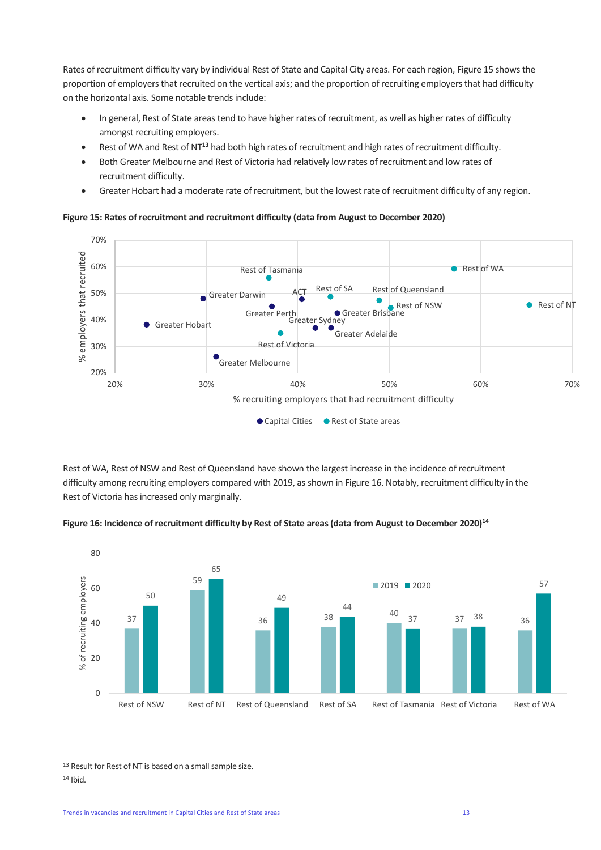Rates of recruitment difficulty vary by individual Rest of State and Capital City areas. For each region, Figure 15 shows the proportion of employers that recruited on the vertical axis; and the proportion of recruiting employers that had difficulty on the horizontal axis. Some notable trends include:

- In general, Rest of State areas tend to have higher rates of recruitment, as well as higher rates of difficulty amongst recruiting employers.
- Rest of WA and Rest of NT**<sup>13</sup>** had both high rates of recruitment and high rates of recruitment difficulty.
- Both Greater Melbourne and Rest of Victoria had relatively low rates of recruitment and low rates of recruitment difficulty.
- Greater Hobart had a moderate rate of recruitment, but the lowest rate of recruitment difficulty of any region.

**Figure 15: Rates of recruitment and recruitment difficulty (data from August to December 2020)**



Rest of WA, Rest of NSW and Rest of Queensland have shown the largest increase in the incidence of recruitment difficulty among recruiting employers compared with 2019, as shown in Figure 16. Notably, recruitment difficulty in the Rest of Victoria has increased only marginally.





<sup>13</sup> Result for Rest of NT is based on a small sample size.  $14$  Ibid.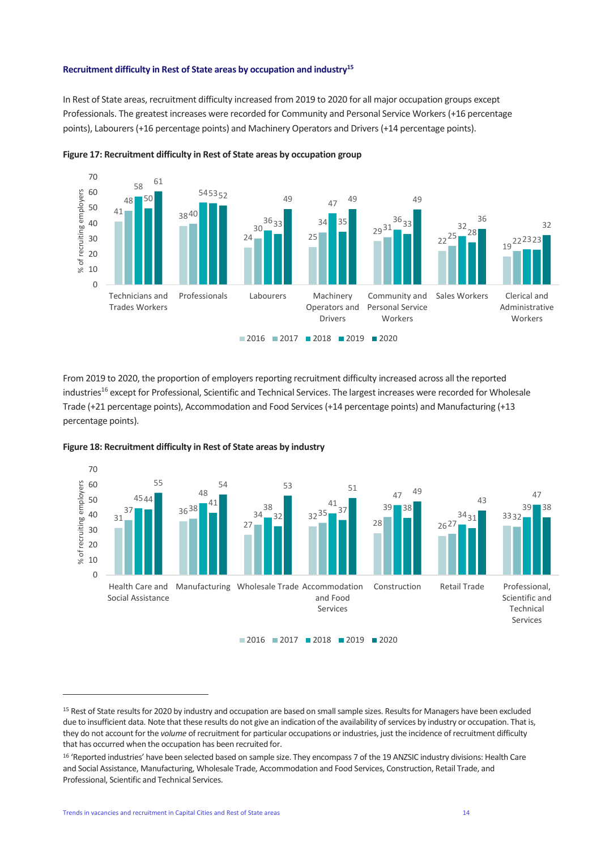#### **Recruitment difficulty in Rest of State areas by occupation and industry 15**

In Rest of State areas, recruitment difficulty increased from 2019 to 2020 for all major occupation groups except Professionals. The greatest increases were recorded for Community and Personal Service Workers (+16 percentage points), Labourers (+16 percentage points) and Machinery Operators and Drivers (+14 percentage points).





From 2019 to 2020, the proportion of employers reporting recruitment difficulty increased across all the reported industries<sup>16</sup> except for Professional, Scientific and Technical Services. The largest increases were recorded for Wholesale Trade (+21 percentage points), Accommodation and Food Services (+14 percentage points) and Manufacturing (+13 percentage points).



#### **Figure 18: Recruitment difficulty in Rest of State areas by industry**

<sup>&</sup>lt;sup>15</sup> Rest of State results for 2020 by industry and occupation are based on small sample sizes. Results for Managers have been excluded due to insufficient data. Note that these results do not give an indication of the availability of services by industry or occupation. That is, they do not account for the *volume* of recruitment for particular occupations or industries, just the incidence of recruitment difficulty that has occurred when the occupation has been recruited for.

<sup>16 &#</sup>x27;Reported industries' have been selected based on sample size. They encompass 7 of the 19 ANZSIC industry divisions: Health Care and Social Assistance, Manufacturing, Wholesale Trade, Accommodation and Food Services, Construction, Retail Trade, and Professional, Scientific and Technical Services.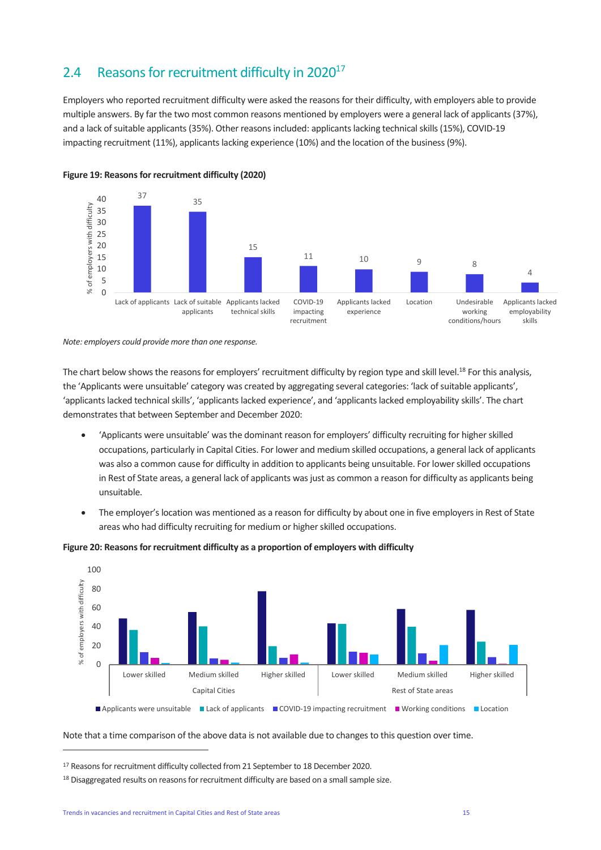### <span id="page-14-0"></span>2.4 Reasons for recruitment difficulty in  $2020^{17}$

Employers who reported recruitment difficulty were asked the reasons for their difficulty, with employers able to provide multiple answers. By far the two most common reasons mentioned by employers were a general lack of applicants (37%), and a lack of suitable applicants (35%). Other reasons included: applicants lacking technical skills (15%), COVID-19 impacting recruitment (11%), applicants lacking experience (10%) and the location of the business (9%).



#### **Figure 19: Reasons for recruitment difficulty (2020)**

*Note: employers could provide more than one response.*

The chart below shows the reasons for employers' recruitment difficulty by region type and skill level.<sup>18</sup> For this analysis, the 'Applicants were unsuitable' category was created by aggregating several categories: 'lack of suitable applicants', 'applicants lacked technical skills', 'applicants lacked experience', and 'applicants lacked employability skills'. The chart demonstrates that between September and December 2020:

- 'Applicants were unsuitable' was the dominant reason for employers' difficulty recruiting for higher skilled occupations, particularly in Capital Cities. For lower and medium skilled occupations, a general lack of applicants was also a common cause for difficulty in addition to applicants being unsuitable. For lower skilled occupations in Rest of State areas, a general lack of applicants was just as common a reason for difficulty as applicants being unsuitable.
- The employer's location was mentioned as a reason for difficulty by about one in five employers in Rest of State areas who had difficulty recruiting for medium or higher skilled occupations.



#### **Figure 20: Reasons for recruitment difficulty as a proportion of employers with difficulty**

Note that a time comparison of the above data is not available due to changes to this question over time.

<sup>17</sup> Reasons for recruitment difficulty collected from 21 September to 18 December 2020.

<sup>&</sup>lt;sup>18</sup> Disaggregated results on reasons for recruitment difficulty are based on a small sample size.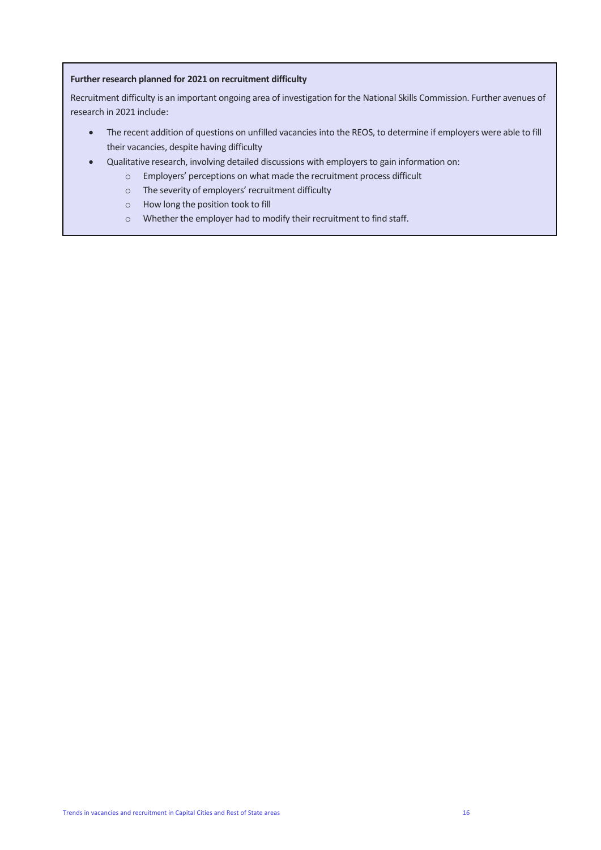#### **Further research planned for 2021 on recruitment difficulty**

Recruitment difficulty is an important ongoing area of investigation for the National Skills Commission. Further avenues of research in 2021 include:

- The recent addition of questions on unfilled vacancies into the REOS, to determine if employers were able to fill their vacancies, despite having difficulty
- Qualitative research, involving detailed discussions with employers to gain information on:
	- o Employers' perceptions on what made the recruitment process difficult
	- o The severity of employers' recruitment difficulty
	- o How long the position took to fill
	- o Whether the employer had to modify their recruitment to find staff.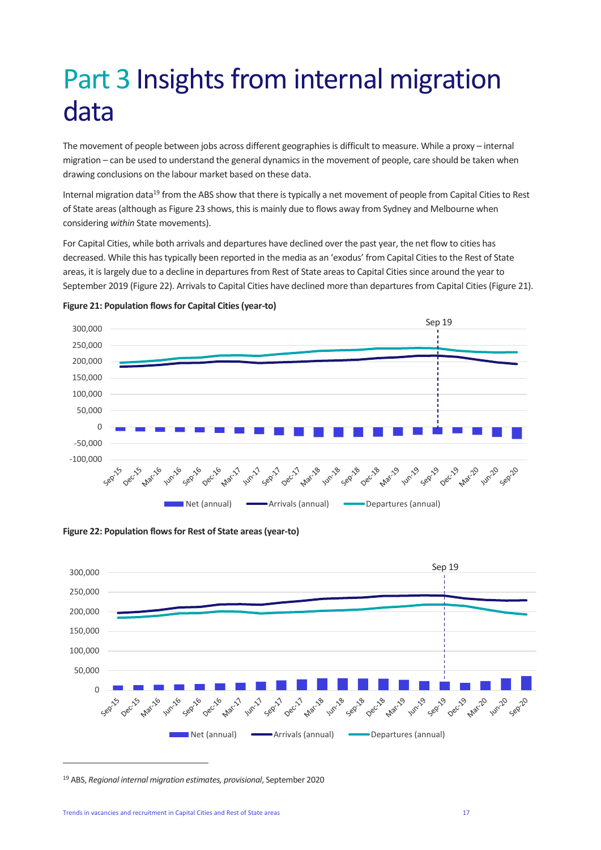# <span id="page-16-0"></span>Part 3 Insights from internal migration data

The movement of people between jobs across different geographies is difficult to measure. While a proxy – internal migration – can be used to understand the general dynamics in the movement of people, care should be taken when drawing conclusions on the labour market based on these data.

Internal migration data<sup>19</sup> from the ABS show that there is typically a net movement of people from Capital Cities to Rest of State areas (although as Figure 23 shows, this is mainly due to flows away from Sydney and Melbourne when considering *within* State movements).

For Capital Cities, while both arrivals and departures have declined over the past year, the net flow to cities has decreased. While this has typically been reported in the media as an 'exodus' from Capital Cities to the Rest of State areas, it is largely due to a decline in departures from Rest of State areas to Capital Cities since around the year to September 2019 (Figure 22). Arrivals to Capital Cities have declined more than departures from Capital Cities (Figure 21).









<sup>19</sup> ABS, *Regional internal migration estimates, provisional*, September 2020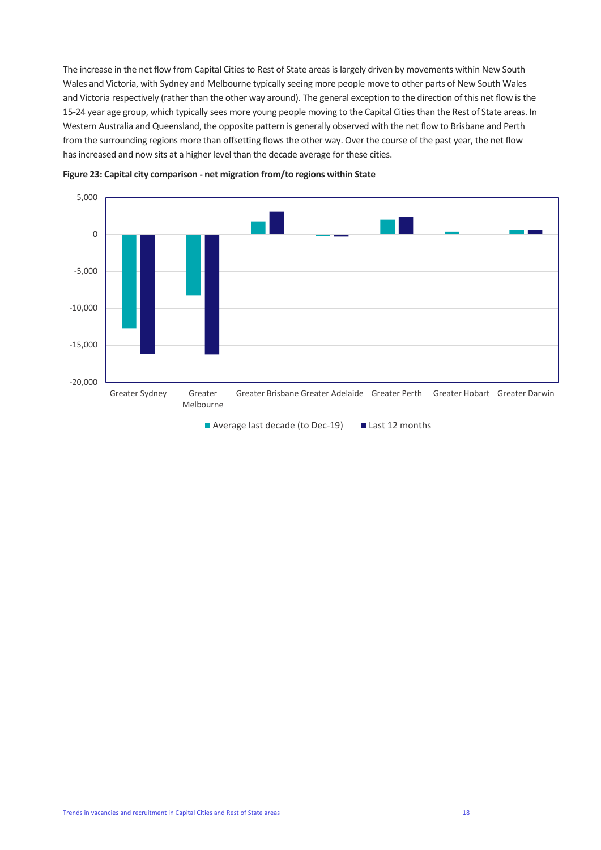The increase in the net flow from Capital Cities to Rest of State areas is largely driven by movements within New South Wales and Victoria, with Sydney and Melbourne typically seeing more people move to other parts of New South Wales and Victoria respectively (rather than the other way around). The general exception to the direction of this net flow is the 15-24 year age group, which typically sees more young people moving to the Capital Cities than the Rest of State areas. In Western Australia and Queensland, the opposite pattern is generally observed with the net flow to Brisbane and Perth from the surrounding regions more than offsetting flows the other way. Over the course of the past year, the net flow has increased and now sits at a higher level than the decade average for these cities.





Average last decade (to Dec-19) Last 12 months

Trends in vacancies and recruitment in Capital Cities and Rest of State areas 18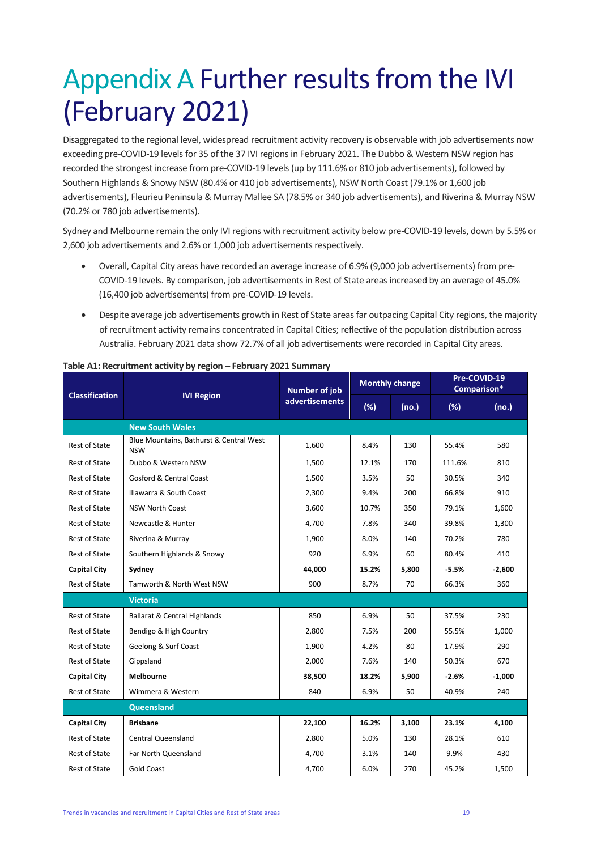# <span id="page-18-0"></span>Appendix A Further results from the IVI (February 2021)

Disaggregated to the regional level, widespread recruitment activity recovery is observable with job advertisements now exceeding pre-COVID-19 levels for 35 of the 37 IVI regions in February 2021. The Dubbo & Western NSW region has recorded the strongest increase from pre-COVID-19 levels (up by 111.6% or 810 job advertisements), followed by Southern Highlands & Snowy NSW (80.4% or 410 job advertisements), NSW North Coast (79.1% or 1,600 job advertisements), Fleurieu Peninsula & Murray Mallee SA (78.5% or 340 job advertisements), and Riverina & Murray NSW (70.2% or 780 job advertisements).

Sydney and Melbourne remain the only IVI regions with recruitment activity below pre-COVID-19 levels, down by 5.5% or 2,600 job advertisements and 2.6% or 1,000 job advertisements respectively.

- Overall, Capital City areas have recorded an average increase of 6.9% (9,000 job advertisements) from pre-COVID-19 levels. By comparison, job advertisements in Rest of State areas increased by an average of 45.0% (16,400 job advertisements) from pre-COVID-19 levels.
- Despite average job advertisements growth in Rest of State areas far outpacing Capital City regions, the majority of recruitment activity remains concentrated in Capital Cities; reflective of the population distribution across Australia. February 2021 data show 72.7% of all job advertisements were recorded in Capital City areas.

| <b>Classification</b> |                                                       | Number of job         | <b>Monthly change</b> |       | Pre-COVID-19<br>Comparison* |          |
|-----------------------|-------------------------------------------------------|-----------------------|-----------------------|-------|-----------------------------|----------|
| <b>IVI Region</b>     |                                                       | <b>advertisements</b> | (%)                   | (no.) | (%)                         | (no.)    |
|                       | <b>New South Wales</b>                                |                       |                       |       |                             |          |
| Rest of State         | Blue Mountains, Bathurst & Central West<br><b>NSW</b> | 1,600                 | 8.4%                  | 130   | 55.4%                       | 580      |
| <b>Rest of State</b>  | Dubbo & Western NSW                                   | 1,500                 | 12.1%                 | 170   | 111.6%                      | 810      |
| <b>Rest of State</b>  | <b>Gosford &amp; Central Coast</b>                    | 1,500                 | 3.5%                  | 50    | 30.5%                       | 340      |
| <b>Rest of State</b>  | Illawarra & South Coast                               | 2,300                 | 9.4%                  | 200   | 66.8%                       | 910      |
| <b>Rest of State</b>  | <b>NSW North Coast</b>                                | 3,600                 | 10.7%                 | 350   | 79.1%                       | 1,600    |
| <b>Rest of State</b>  | Newcastle & Hunter                                    | 4,700                 | 7.8%                  | 340   | 39.8%                       | 1,300    |
| <b>Rest of State</b>  | Riverina & Murray                                     | 1,900                 | 8.0%                  | 140   | 70.2%                       | 780      |
| <b>Rest of State</b>  | Southern Highlands & Snowy                            | 920                   | 6.9%                  | 60    | 80.4%                       | 410      |
| <b>Capital City</b>   | Sydney                                                | 44,000                | 15.2%                 | 5,800 | $-5.5%$                     | $-2,600$ |
| <b>Rest of State</b>  | Tamworth & North West NSW                             | 900                   | 8.7%                  | 70    | 66.3%                       | 360      |
|                       | <b>Victoria</b>                                       |                       |                       |       |                             |          |
| <b>Rest of State</b>  | <b>Ballarat &amp; Central Highlands</b>               | 850                   | 6.9%                  | 50    | 37.5%                       | 230      |
| <b>Rest of State</b>  | Bendigo & High Country                                | 2,800                 | 7.5%                  | 200   | 55.5%                       | 1,000    |
| <b>Rest of State</b>  | Geelong & Surf Coast                                  | 1,900                 | 4.2%                  | 80    | 17.9%                       | 290      |
| <b>Rest of State</b>  | Gippsland                                             | 2,000                 | 7.6%                  | 140   | 50.3%                       | 670      |
| <b>Capital City</b>   | <b>Melbourne</b>                                      | 38,500                | 18.2%                 | 5,900 | $-2.6%$                     | $-1,000$ |
| <b>Rest of State</b>  | Wimmera & Western                                     | 840                   | 6.9%                  | 50    | 40.9%                       | 240      |
| Queensland            |                                                       |                       |                       |       |                             |          |
| <b>Capital City</b>   | <b>Brisbane</b>                                       | 22,100                | 16.2%                 | 3,100 | 23.1%                       | 4,100    |
| <b>Rest of State</b>  | <b>Central Queensland</b>                             | 2,800                 | 5.0%                  | 130   | 28.1%                       | 610      |
| <b>Rest of State</b>  | Far North Queensland                                  | 4,700                 | 3.1%                  | 140   | 9.9%                        | 430      |
| <b>Rest of State</b>  | Gold Coast                                            | 4,700                 | 6.0%                  | 270   | 45.2%                       | 1,500    |

#### **Table A1: Recruitment activity by region – February 2021 Summary**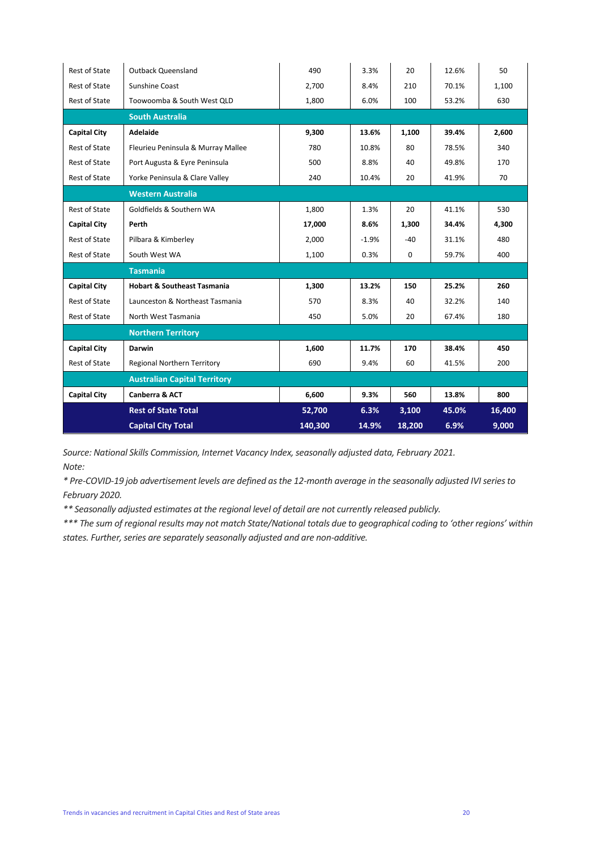| <b>Rest of State</b>      | <b>Outback Queensland</b>              | 490     | 3.3%    | 20     | 12.6% | 50     |
|---------------------------|----------------------------------------|---------|---------|--------|-------|--------|
| Rest of State             | Sunshine Coast                         | 2,700   | 8.4%    | 210    | 70.1% | 1,100  |
| <b>Rest of State</b>      | Toowoomba & South West QLD             | 1,800   | 6.0%    | 100    | 53.2% | 630    |
|                           | <b>South Australia</b>                 |         |         |        |       |        |
| <b>Capital City</b>       | <b>Adelaide</b>                        | 9,300   | 13.6%   | 1,100  | 39.4% | 2,600  |
| <b>Rest of State</b>      | Fleurieu Peninsula & Murray Mallee     | 780     | 10.8%   | 80     | 78.5% | 340    |
| <b>Rest of State</b>      | Port Augusta & Eyre Peninsula          | 500     | 8.8%    | 40     | 49.8% | 170    |
| <b>Rest of State</b>      | Yorke Peninsula & Clare Valley         | 240     | 10.4%   | 20     | 41.9% | 70     |
|                           | <b>Western Australia</b>               |         |         |        |       |        |
| <b>Rest of State</b>      | Goldfields & Southern WA               | 1,800   | 1.3%    | 20     | 41.1% | 530    |
| <b>Capital City</b>       | Perth                                  | 17,000  | 8.6%    | 1,300  | 34.4% | 4,300  |
| <b>Rest of State</b>      | Pilbara & Kimberley                    | 2,000   | $-1.9%$ | $-40$  | 31.1% | 480    |
| <b>Rest of State</b>      | South West WA                          | 1,100   | 0.3%    | 0      | 59.7% | 400    |
|                           | <b>Tasmania</b>                        |         |         |        |       |        |
| <b>Capital City</b>       | <b>Hobart &amp; Southeast Tasmania</b> | 1,300   | 13.2%   | 150    | 25.2% | 260    |
| <b>Rest of State</b>      | Launceston & Northeast Tasmania        | 570     | 8.3%    | 40     | 32.2% | 140    |
| <b>Rest of State</b>      | North West Tasmania                    | 450     | 5.0%    | 20     | 67.4% | 180    |
| <b>Northern Territory</b> |                                        |         |         |        |       |        |
| <b>Capital City</b>       | Darwin                                 | 1,600   | 11.7%   | 170    | 38.4% | 450    |
| <b>Rest of State</b>      | Regional Northern Territory            | 690     | 9.4%    | 60     | 41.5% | 200    |
|                           | <b>Australian Capital Territory</b>    |         |         |        |       |        |
| <b>Capital City</b>       | Canberra & ACT                         | 6,600   | 9.3%    | 560    | 13.8% | 800    |
|                           | <b>Rest of State Total</b>             | 52,700  | 6.3%    | 3,100  | 45.0% | 16,400 |
|                           | <b>Capital City Total</b>              | 140,300 | 14.9%   | 18,200 | 6.9%  | 9,000  |

*Source: National Skills Commission, Internet Vacancy Index, seasonally adjusted data, February 2021. Note:*

*\* Pre-COVID-19 job advertisement levels are defined as the 12-month average in the seasonally adjusted IVI series to February 2020.* 

*\*\* Seasonally adjusted estimates at the regional level of detail are not currently released publicly.*

*\*\*\* The sum of regional results may not match State/National totals due to geographical coding to 'other regions' within states. Further, series are separately seasonally adjusted and are non-additive.*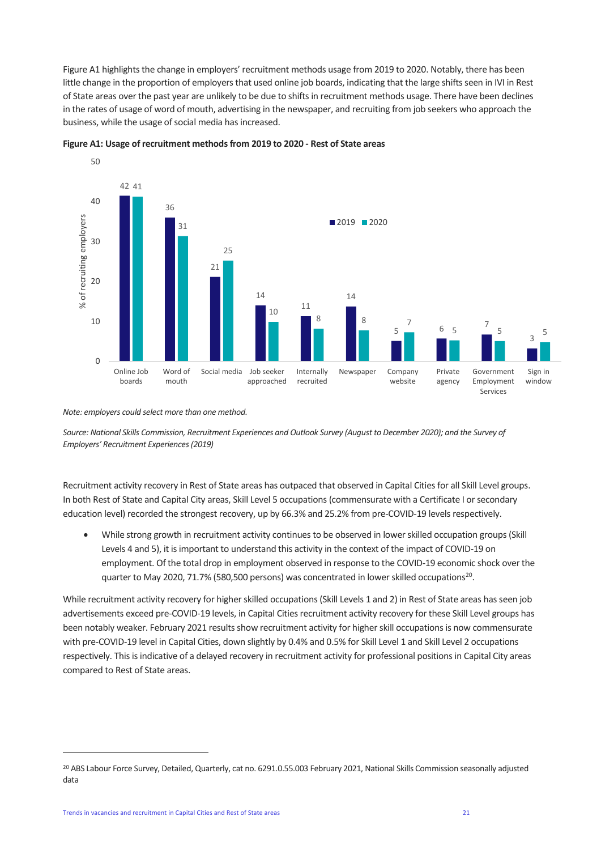Figure A1 highlights the change in employers' recruitment methods usage from 2019 to 2020. Notably, there has been little change in the proportion of employers that used online job boards, indicating that the large shifts seen in IVI in Rest of State areas over the past year are unlikely to be due to shifts in recruitment methods usage. There have been declines in the rates of usage of word of mouth, advertising in the newspaper, and recruiting from job seekers who approach the business, while the usage of social media has increased.



**Figure A1: Usage of recruitment methods from 2019 to 2020 - Rest of State areas**

*Note: employers could select more than one method.*

*Source: National Skills Commission, Recruitment Experiences and Outlook Survey (August to December 2020); and the Survey of Employers' Recruitment Experiences (2019)*

Recruitment activity recovery in Rest of State areas has outpaced that observed in Capital Cities for all Skill Level groups. In both Rest of State and Capital City areas, Skill Level 5 occupations (commensurate with a Certificate I or secondary education level) recorded the strongest recovery, up by 66.3% and 25.2% from pre-COVID-19 levels respectively.

• While strong growth in recruitment activity continues to be observed in lower skilled occupation groups (Skill Levels 4 and 5), it is important to understand this activity in the context of the impact of COVID-19 on employment. Of the total drop in employment observed in response to the COVID-19 economic shock over the quarter to May 2020, 71.7% (580,500 persons) was concentrated in lower skilled occupations<sup>20</sup>.

While recruitment activity recovery for higher skilled occupations (Skill Levels 1 and 2) in Rest of State areas has seen job advertisements exceed pre-COVID-19 levels, in Capital Cities recruitment activity recovery for these Skill Level groups has been notably weaker. February 2021 results show recruitment activity for higher skill occupations is now commensurate with pre-COVID-19 level in Capital Cities, down slightly by 0.4% and 0.5% for Skill Level 1 and Skill Level 2 occupations respectively. This is indicative of a delayed recovery in recruitment activity for professional positions in Capital City areas compared to Rest of State areas.

<sup>&</sup>lt;sup>20</sup> ABS Labour Force Survey, Detailed, Quarterly, cat no. 6291.0.55.003 February 2021, National Skills Commission seasonally adjusted data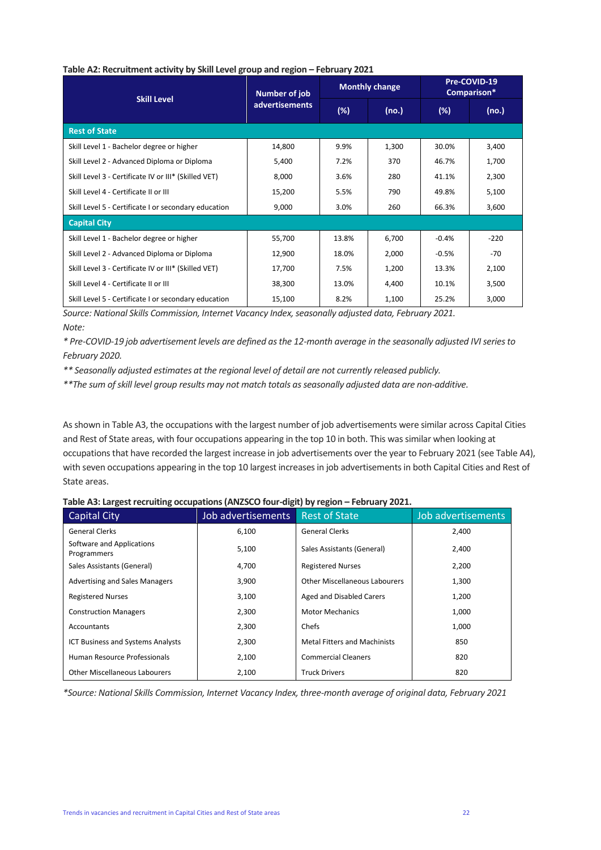|                                                      | <b>Number of job</b>  |       | <b>Monthly change</b> | Pre-COVID-19<br>Comparison* |        |
|------------------------------------------------------|-----------------------|-------|-----------------------|-----------------------------|--------|
| <b>Skill Level</b>                                   | <b>advertisements</b> | (%)   | (no.)                 | (%)                         | (no.)  |
| <b>Rest of State</b>                                 |                       |       |                       |                             |        |
| Skill Level 1 - Bachelor degree or higher            | 14,800                | 9.9%  | 1,300                 | 30.0%                       | 3,400  |
| Skill Level 2 - Advanced Diploma or Diploma          | 5,400                 | 7.2%  | 370                   | 46.7%                       | 1,700  |
| Skill Level 3 - Certificate IV or III* (Skilled VET) | 8,000                 | 3.6%  | 280                   | 41.1%                       | 2,300  |
| Skill Level 4 - Certificate II or III                | 15,200                | 5.5%  | 790                   | 49.8%                       | 5,100  |
| Skill Level 5 - Certificate I or secondary education | 9,000                 | 3.0%  | 260                   | 66.3%                       | 3,600  |
| <b>Capital City</b>                                  |                       |       |                       |                             |        |
| Skill Level 1 - Bachelor degree or higher            | 55,700                | 13.8% | 6,700                 | $-0.4%$                     | $-220$ |
| Skill Level 2 - Advanced Diploma or Diploma          | 12,900                | 18.0% | 2,000                 | $-0.5%$                     | $-70$  |
| Skill Level 3 - Certificate IV or III* (Skilled VET) | 17,700                | 7.5%  | 1,200                 | 13.3%                       | 2,100  |
| Skill Level 4 - Certificate II or III                | 38,300                | 13.0% | 4,400                 | 10.1%                       | 3,500  |
| Skill Level 5 - Certificate I or secondary education | 15,100                | 8.2%  | 1,100                 | 25.2%                       | 3,000  |

#### **Table A2: Recruitment activity by Skill Level group and region – February 2021**

*Source: National Skills Commission, Internet Vacancy Index, seasonally adjusted data, February 2021. Note:*

*\* Pre-COVID-19 job advertisement levels are defined as the 12-month average in the seasonally adjusted IVI series to February 2020.* 

*\*\* Seasonally adjusted estimates at the regional level of detail are not currently released publicly.*

*\*\*The sum of skill level group results may not match totals as seasonally adjusted data are non-additive.*

As shown in Table A3, the occupations with the largest number of job advertisements were similar across Capital Cities and Rest of State areas, with four occupations appearing in the top 10 in both. This was similar when looking at occupations that have recorded the largest increase in job advertisements over the year to February 2021 (see Table A4), with seven occupations appearing in the top 10 largest increases in job advertisements in both Capital Cities and Rest of State areas.

#### Table A3: Largest recruiting occupations (ANZSCO four-digit) by region - February 2021.

| Capital City                             | Job advertisements | <b>Rest of State</b>                 | Job advertisements |
|------------------------------------------|--------------------|--------------------------------------|--------------------|
| <b>General Clerks</b>                    | 6,100              | <b>General Clerks</b>                | 2,400              |
| Software and Applications<br>Programmers | 5,100              | Sales Assistants (General)           | 2,400              |
| Sales Assistants (General)               | 4,700              | <b>Registered Nurses</b>             | 2,200              |
| <b>Advertising and Sales Managers</b>    | 3,900              | <b>Other Miscellaneous Labourers</b> | 1,300              |
| <b>Registered Nurses</b>                 | 3,100              | Aged and Disabled Carers             | 1,200              |
| <b>Construction Managers</b>             | 2,300              | <b>Motor Mechanics</b>               | 1,000              |
| Accountants                              | 2,300              | Chefs                                | 1,000              |
| <b>ICT Business and Systems Analysts</b> | 2,300              | <b>Metal Fitters and Machinists</b>  | 850                |
| Human Resource Professionals             | 2,100              | <b>Commercial Cleaners</b>           | 820                |
| <b>Other Miscellaneous Labourers</b>     | 2,100              | <b>Truck Drivers</b>                 | 820                |

*\*Source: National Skills Commission, Internet Vacancy Index, three-month average of original data, February 2021*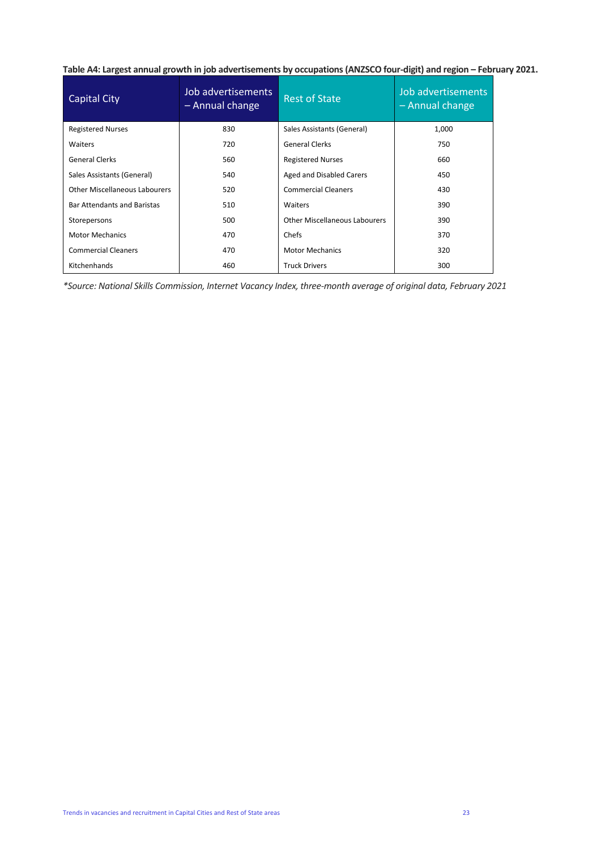Table A4: Largest annual growth in job advertisements by occupations (ANZSCO four-digit) and region - February 2021.

| Capital City                       | Job advertisements<br>- Annual change | <b>Rest of State</b>                 | Job advertisements<br>- Annual change |  |
|------------------------------------|---------------------------------------|--------------------------------------|---------------------------------------|--|
| <b>Registered Nurses</b>           | 830                                   | Sales Assistants (General)           | 1,000                                 |  |
| <b>Waiters</b>                     | 720                                   | <b>General Clerks</b>                | 750                                   |  |
| <b>General Clerks</b>              | 560                                   | <b>Registered Nurses</b>             | 660                                   |  |
| Sales Assistants (General)         | 540                                   | Aged and Disabled Carers             | 450                                   |  |
| Other Miscellaneous Labourers      | 520                                   | <b>Commercial Cleaners</b>           | 430                                   |  |
| <b>Bar Attendants and Baristas</b> | 510                                   | Waiters                              | 390                                   |  |
| Storepersons                       | 500                                   | <b>Other Miscellaneous Labourers</b> | 390                                   |  |
| <b>Motor Mechanics</b>             | 470                                   | Chefs                                | 370                                   |  |
| <b>Commercial Cleaners</b>         | 470                                   | <b>Motor Mechanics</b>               | 320                                   |  |
| Kitchenhands                       | 460                                   | <b>Truck Drivers</b>                 | 300                                   |  |

*\*Source: National Skills Commission, Internet Vacancy Index, three-month average of original data, February 2021*